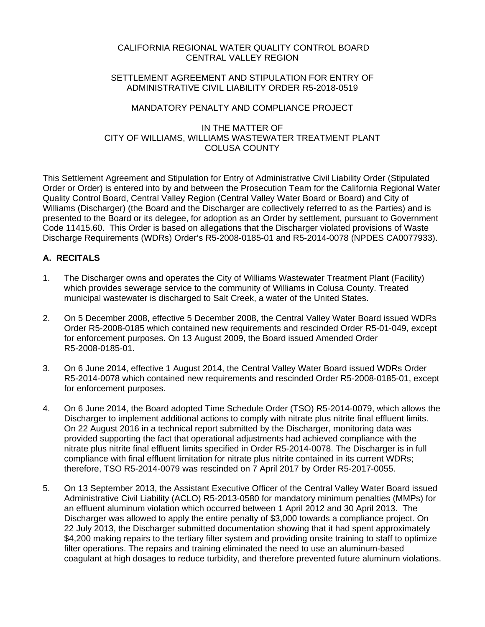# CALIFORNIA REGIONAL WATER QUALITY CONTROL BOARD CENTRAL VALLEY REGION

#### SETTI EMENT AGREEMENT AND STIPULATION FOR ENTRY OF ADMINISTRATIVE CIVIL LIABILITY ORDER R5-2018-0519

## MANDATORY PENALTY AND COMPLIANCE PROJECT

#### IN THE MATTER OF CITY OF WILLIAMS, WILLIAMS WASTEWATER TREATMENT PLANT COLUSA COUNTY

This Settlement Agreement and Stipulation for Entry of Administrative Civil Liability Order (Stipulated Order or Order) is entered into by and between the Prosecution Team for the California Regional Water Quality Control Board, Central Valley Region (Central Valley Water Board or Board) and City of Williams (Discharger) (the Board and the Discharger are collectively referred to as the Parties) and is presented to the Board or its delegee, for adoption as an Order by settlement, pursuant to Government Code 11415.60. This Order is based on allegations that the Discharger violated provisions of Waste Discharge Requirements (WDRs) Order's R5-2008-0185-01 and R5-2014-0078 (NPDES CA0077933).

# **A. RECITALS**

- 1. The Discharger owns and operates the City of Williams Wastewater Treatment Plant (Facility) which provides sewerage service to the community of Williams in Colusa County. Treated municipal wastewater is discharged to Salt Creek, a water of the United States.
- 2. On 5 December 2008, effective 5 December 2008, the Central Valley Water Board issued WDRs Order R5-2008-0185 which contained new requirements and rescinded Order R5-01-049, except for enforcement purposes. On 13 August 2009, the Board issued Amended Order R5-2008-0185-01.
- 3. On 6 June 2014, effective 1 August 2014, the Central Valley Water Board issued WDRs Order R5-2014-0078 which contained new requirements and rescinded Order R5-2008-0185-01, except for enforcement purposes.
- 4. On 6 June 2014, the Board adopted Time Schedule Order (TSO) R5-2014-0079, which allows the Discharger to implement additional actions to comply with nitrate plus nitrite final effluent limits. On 22 August 2016 in a technical report submitted by the Discharger, monitoring data was provided supporting the fact that operational adjustments had achieved compliance with the nitrate plus nitrite final effluent limits specified in Order R5-2014-0078. The Discharger is in full compliance with final effluent limitation for nitrate plus nitrite contained in its current WDRs; therefore, TSO R5-2014-0079 was rescinded on 7 April 2017 by Order R5-2017-0055.
- 5. On 13 September 2013, the Assistant Executive Officer of the Central Valley Water Board issued Administrative Civil Liability (ACLO) R5-2013-0580 for mandatory minimum penalties (MMPs) for an effluent aluminum violation which occurred between 1 April 2012 and 30 April 2013. The Discharger was allowed to apply the entire penalty of \$3,000 towards a compliance project. On 22 July 2013, the Discharger submitted documentation showing that it had spent approximately \$4,200 making repairs to the tertiary filter system and providing onsite training to staff to optimize filter operations. The repairs and training eliminated the need to use an aluminum-based coagulant at high dosages to reduce turbidity, and therefore prevented future aluminum violations.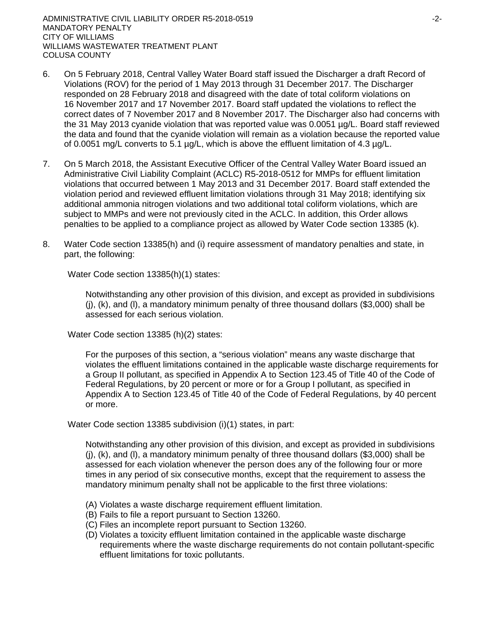- 6. On 5 February 2018, Central Valley Water Board staff issued the Discharger a draft Record of Violations (ROV) for the period of 1 May 2013 through 31 December 2017. The Discharger responded on 28 February 2018 and disagreed with the date of total coliform violations on 16 November 2017 and 17 November 2017. Board staff updated the violations to reflect the correct dates of 7 November 2017 and 8 November 2017. The Discharger also had concerns with the 31 May 2013 cyanide violation that was reported value was 0.0051 µg/L. Board staff reviewed the data and found that the cyanide violation will remain as a violation because the reported value of 0.0051 mg/L converts to 5.1 µg/L, which is above the effluent limitation of 4.3 µg/L.
- 7. On 5 March 2018, the Assistant Executive Officer of the Central Valley Water Board issued an Administrative Civil Liability Complaint (ACLC) R5-2018-0512 for MMPs for effluent limitation violations that occurred between 1 May 2013 and 31 December 2017. Board staff extended the violation period and reviewed effluent limitation violations through 31 May 2018; identifying six additional ammonia nitrogen violations and two additional total coliform violations, which are subject to MMPs and were not previously cited in the ACLC. In addition, this Order allows penalties to be applied to a compliance project as allowed by Water Code section 13385 (k).
- 8. Water Code section 13385(h) and (i) require assessment of mandatory penalties and state, in part, the following:

Water Code section 13385(h)(1) states:

Notwithstanding any other provision of this division, and except as provided in subdivisions  $(i)$ ,  $(k)$ , and  $(l)$ , a mandatory minimum penalty of three thousand dollars (\$3,000) shall be assessed for each serious violation.

Water Code section 13385 (h)(2) states:

For the purposes of this section, a "serious violation" means any waste discharge that violates the effluent limitations contained in the applicable waste discharge requirements for a Group II pollutant, as specified in Appendix A to Section 123.45 of Title 40 of the Code of Federal Regulations, by 20 percent or more or for a Group I pollutant, as specified in Appendix A to Section 123.45 of Title 40 of the Code of Federal Regulations, by 40 percent or more.

Water Code section 13385 subdivision (i)(1) states, in part:

Notwithstanding any other provision of this division, and except as provided in subdivisions  $(i)$ ,  $(k)$ , and  $(l)$ , a mandatory minimum penalty of three thousand dollars (\$3,000) shall be assessed for each violation whenever the person does any of the following four or more times in any period of six consecutive months, except that the requirement to assess the mandatory minimum penalty shall not be applicable to the first three violations:

- (A) Violates a waste discharge requirement effluent limitation.
- (B) Fails to file a report pursuant to Section 13260.
- (C) Files an incomplete report pursuant to Section 13260.
- (D) Violates a toxicity effluent limitation contained in the applicable waste discharge requirements where the waste discharge requirements do not contain pollutant-specific effluent limitations for toxic pollutants.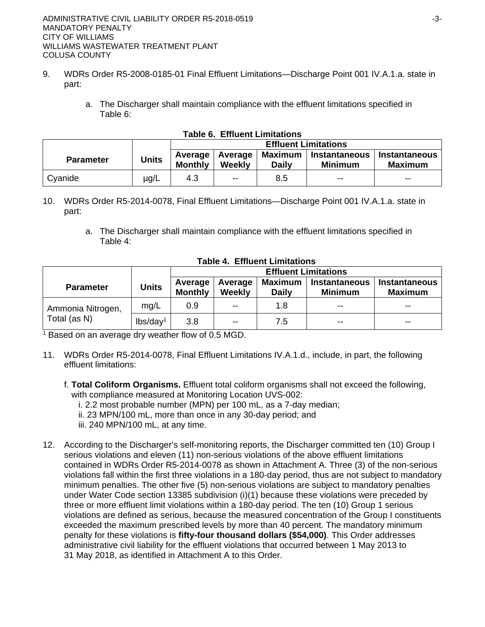- 9. WDRs Order R5-2008-0185-01 Final Effluent Limitations—Discharge Point 001 IV.A.1.a. state in part:
	- a. The Discharger shall maintain compliance with the effluent limitations specified in Table 6:

|                  |              | apic v.  Linucht Linnlauviis<br><b>Effluent Limitations</b> |                             |                           |                                        |                                        |
|------------------|--------------|-------------------------------------------------------------|-----------------------------|---------------------------|----------------------------------------|----------------------------------------|
| <b>Parameter</b> | <b>Units</b> | <b>Monthly</b>                                              | Average   Average<br>Weekly | Maximum  <br><b>Daily</b> | <b>Instantaneous</b><br><b>Minimum</b> | <b>Instantaneous</b><br><b>Maximum</b> |
| Cyanide          | $\mu$ g/L    | 4.3                                                         | $\overline{\phantom{a}}$    | 8.5                       | $- -$                                  | $- -$                                  |

#### **Table 6. Effluent Limitations**

- 10. WDRs Order R5-2014-0078, Final Effluent Limitations—Discharge Point 001 IV.A.1.a. state in part:
	- a. The Discharger shall maintain compliance with the effluent limitations specified in Table 4:

|                   |                      | <b>Effluent Limitations</b> |                          |                                |                                 |                                        |  |
|-------------------|----------------------|-----------------------------|--------------------------|--------------------------------|---------------------------------|----------------------------------------|--|
| <b>Parameter</b>  | <b>Units</b>         | Average<br><b>Monthly</b>   | Average<br><b>Weekly</b> | <b>Maximum</b><br><b>Daily</b> | Instantaneous<br><b>Minimum</b> | <b>Instantaneous</b><br><b>Maximum</b> |  |
| Ammonia Nitrogen, | mg/L                 | 0.9                         | $- -$                    | 1.8                            | $- -$                           | $- -$                                  |  |
| Total (as N)      | lbs/day <sup>1</sup> | 3.8                         | $\overline{\phantom{a}}$ | 7.5                            | $- -$                           | $- -$                                  |  |

#### **Table 4. Effluent Limitations**

<sup>1</sup> Based on an average dry weather flow of 0.5 MGD.

- 11. WDRs Order R5-2014-0078, Final Effluent Limitations IV.A.1.d., include, in part, the following effluent limitations:
	- f. **Total Coliform Organisms.** Effluent total coliform organisms shall not exceed the following, with compliance measured at Monitoring Location UVS-002:
		- i. 2.2 most probable number (MPN) per 100 mL, as a 7-day median;
		- ii. 23 MPN/100 mL, more than once in any 30-day period; and
		- iii. 240 MPN/100 mL, at any time.
- 12. According to the Discharger's self-monitoring reports, the Discharger committed ten (10) Group I serious violations and eleven (11) non-serious violations of the above effluent limitations contained in WDRs Order R5-2014-0078 as shown in Attachment A. Three (3) of the non-serious violations fall within the first three violations in a 180-day period, thus are not subject to mandatory minimum penalties. The other five (5) non-serious violations are subject to mandatory penalties under Water Code section 13385 subdivision (i)(1) because these violations were preceded by three or more effluent limit violations within a 180-day period. The ten (10) Group 1 serious violations are defined as serious, because the measured concentration of the Group I constituents exceeded the maximum prescribed levels by more than 40 percent. The mandatory minimum penalty for these violations is **fifty-four thousand dollars (\$54,000)**. This Order addresses administrative civil liability for the effluent violations that occurred between 1 May 2013 to 31 May 2018, as identified in Attachment A to this Order.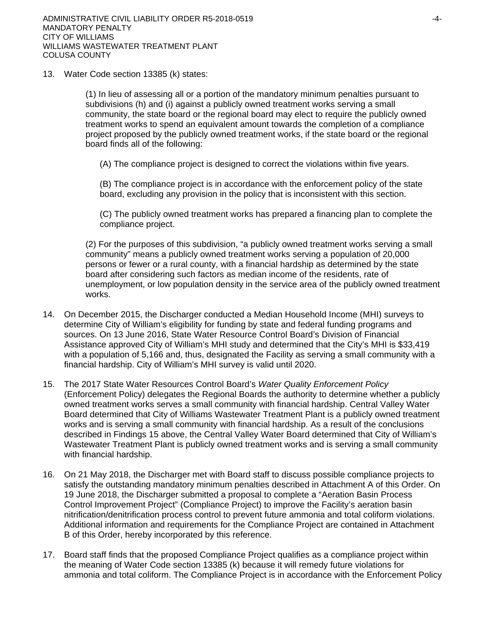13. Water Code section 13385 (k) states:

(1) In lieu of assessing all or a portion of the mandatory minimum penalties pursuant to subdivisions (h) and (i) against a publicly owned treatment works serving a small community, the state board or the regional board may elect to require the publicly owned treatment works to spend an equivalent amount towards the completion of a compliance project proposed by the publicly owned treatment works, if the state board or the regional board finds all of the following:

(A) The compliance project is designed to correct the violations within five years.

(B) The compliance project is in accordance with the enforcement policy of the state board, excluding any provision in the policy that is inconsistent with this section.

(C) The publicly owned treatment works has prepared a financing plan to complete the compliance project.

(2) For the purposes of this subdivision, "a publicly owned treatment works serving a small community" means a publicly owned treatment works serving a population of 20,000 persons or fewer or a rural county, with a financial hardship as determined by the state board after considering such factors as median income of the residents, rate of unemployment, or low population density in the service area of the publicly owned treatment works.

- 14. On December 2015, the Discharger conducted a Median Household Income (MHI) surveys to determine City of William's eligibility for funding by state and federal funding programs and sources. On 13 June 2016, State Water Resource Control Board's Division of Financial Assistance approved City of William's MHI study and determined that the City's MHI is \$33,419 with a population of 5,166 and, thus, designated the Facility as serving a small community with a financial hardship. City of William's MHI survey is valid until 2020.
- 15. The 2017 State Water Resources Control Board's *Water Quality Enforcement Policy* (Enforcement Policy) delegates the Regional Boards the authority to determine whether a publicly owned treatment works serves a small community with financial hardship. Central Valley Water Board determined that City of Williams Wastewater Treatment Plant is a publicly owned treatment works and is serving a small community with financial hardship. As a result of the conclusions described in Findings 15 above, the Central Valley Water Board determined that City of William's Wastewater Treatment Plant is publicly owned treatment works and is serving a small community with financial hardship.
- 16. On 21 May 2018, the Discharger met with Board staff to discuss possible compliance projects to satisfy the outstanding mandatory minimum penalties described in Attachment A of this Order. On 19 June 2018, the Discharger submitted a proposal to complete a "Aeration Basin Process Control Improvement Project" (Compliance Project) to improve the Facility's aeration basin nitrification/denitrification process control to prevent future ammonia and total coliform violations. Additional information and requirements for the Compliance Project are contained in Attachment B of this Order, hereby incorporated by this reference.
- 17. Board staff finds that the proposed Compliance Project qualifies as a compliance project within the meaning of Water Code section 13385 (k) because it will remedy future violations for ammonia and total coliform. The Compliance Project is in accordance with the Enforcement Policy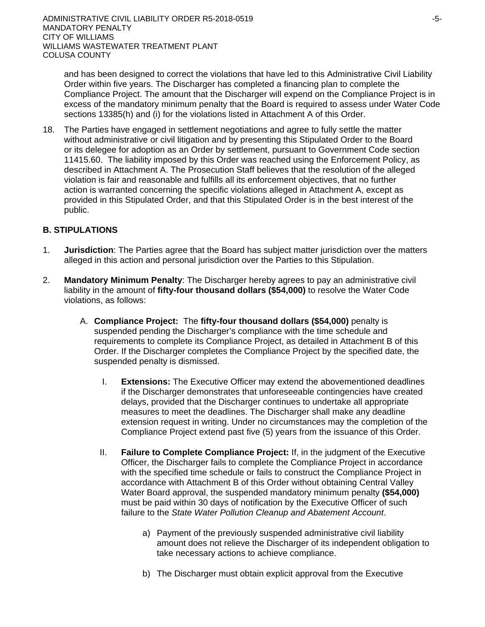and has been designed to correct the violations that have led to this Administrative Civil Liability Order within five years. The Discharger has completed a financing plan to complete the Compliance Project. The amount that the Discharger will expend on the Compliance Project is in excess of the mandatory minimum penalty that the Board is required to assess under Water Code sections 13385(h) and (i) for the violations listed in Attachment A of this Order.

18. The Parties have engaged in settlement negotiations and agree to fully settle the matter without administrative or civil litigation and by presenting this Stipulated Order to the Board or its delegee for adoption as an Order by settlement, pursuant to Government Code section 11415.60. The liability imposed by this Order was reached using the Enforcement Policy, as described in Attachment A. The Prosecution Staff believes that the resolution of the alleged violation is fair and reasonable and fulfills all its enforcement objectives, that no further action is warranted concerning the specific violations alleged in Attachment A, except as provided in this Stipulated Order, and that this Stipulated Order is in the best interest of the public.

# **B. STIPULATIONS**

- 1. **Jurisdiction**: The Parties agree that the Board has subject matter jurisdiction over the matters alleged in this action and personal jurisdiction over the Parties to this Stipulation.
- 2. **Mandatory Minimum Penalty**: The Discharger hereby agrees to pay an administrative civil liability in the amount of **fifty-four thousand dollars (\$54,000)** to resolve the Water Code violations, as follows:
	- A. **Compliance Project:** The **fifty-four thousand dollars (\$54,000)** penalty is suspended pending the Discharger's compliance with the time schedule and requirements to complete its Compliance Project, as detailed in Attachment B of this Order. If the Discharger completes the Compliance Project by the specified date, the suspended penalty is dismissed.
		- I. **Extensions:** The Executive Officer may extend the abovementioned deadlines if the Discharger demonstrates that unforeseeable contingencies have created delays, provided that the Discharger continues to undertake all appropriate measures to meet the deadlines. The Discharger shall make any deadline extension request in writing. Under no circumstances may the completion of the Compliance Project extend past five (5) years from the issuance of this Order.
		- II. **Failure to Complete Compliance Project:** If, in the judgment of the Executive Officer, the Discharger fails to complete the Compliance Project in accordance with the specified time schedule or fails to construct the Compliance Project in accordance with Attachment B of this Order without obtaining Central Valley Water Board approval, the suspended mandatory minimum penalty **(\$54,000)**  must be paid within 30 days of notification by the Executive Officer of such failure to the *State Water Pollution Cleanup and Abatement Account*.
			- a) Payment of the previously suspended administrative civil liability amount does not relieve the Discharger of its independent obligation to take necessary actions to achieve compliance.
			- b) The Discharger must obtain explicit approval from the Executive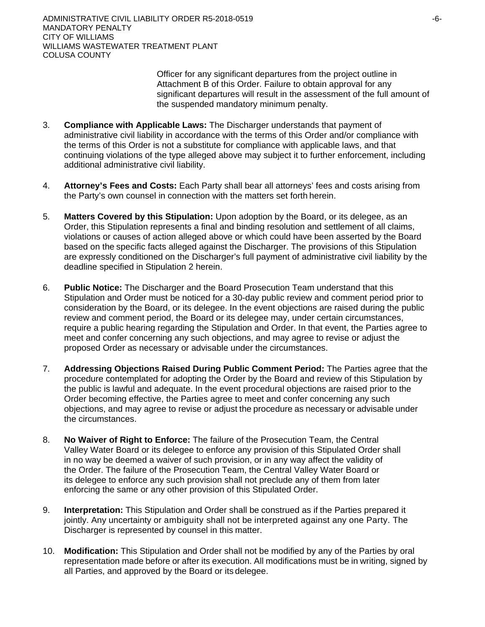Officer for any significant departures from the project outline in Attachment B of this Order. Failure to obtain approval for any significant departures will result in the assessment of the full amount of the suspended mandatory minimum penalty.

- 3. **Compliance with Applicable Laws:** The Discharger understands that payment of administrative civil liability in accordance with the terms of this Order and/or compliance with the terms of this Order is not a substitute for compliance with applicable laws, and that continuing violations of the type alleged above may subject it to further enforcement, including additional administrative civil liability.
- 4. **Attorney's Fees and Costs:** Each Party shall bear all attorneys' fees and costs arising from the Party's own counsel in connection with the matters set forth herein.
- 5. **Matters Covered by this Stipulation:** Upon adoption by the Board, or its delegee, as an Order, this Stipulation represents a final and binding resolution and settlement of all claims, violations or causes of action alleged above or which could have been asserted by the Board based on the specific facts alleged against the Discharger. The provisions of this Stipulation are expressly conditioned on the Discharger's full payment of administrative civil liability by the deadline specified in Stipulation 2 herein.
- 6. **Public Notice:** The Discharger and the Board Prosecution Team understand that this Stipulation and Order must be noticed for a 30-day public review and comment period prior to consideration by the Board, or its delegee. In the event objections are raised during the public review and comment period, the Board or its delegee may, under certain circumstances, require a public hearing regarding the Stipulation and Order. In that event, the Parties agree to meet and confer concerning any such objections, and may agree to revise or adjust the proposed Order as necessary or advisable under the circumstances.
- 7. **Addressing Objections Raised During Public Comment Period:** The Parties agree that the procedure contemplated for adopting the Order by the Board and review of this Stipulation by the public is lawful and adequate. In the event procedural objections are raised prior to the Order becoming effective, the Parties agree to meet and confer concerning any such objections, and may agree to revise or adjust the procedure as necessary or advisable under the circumstances.
- 8. **No Waiver of Right to Enforce:** The failure of the Prosecution Team, the Central Valley Water Board or its delegee to enforce any provision of this Stipulated Order shall in no way be deemed a waiver of such provision, or in any way affect the validity of the Order. The failure of the Prosecution Team, the Central Valley Water Board or its delegee to enforce any such provision shall not preclude any of them from later enforcing the same or any other provision of this Stipulated Order.
- 9. **Interpretation:** This Stipulation and Order shall be construed as if the Parties prepared it jointly. Any uncertainty or ambiguity shall not be interpreted against any one Party. The Discharger is represented by counsel in this matter.
- 10. **Modification:** This Stipulation and Order shall not be modified by any of the Parties by oral representation made before or after its execution. All modifications must be in writing, signed by all Parties, and approved by the Board or its delegee.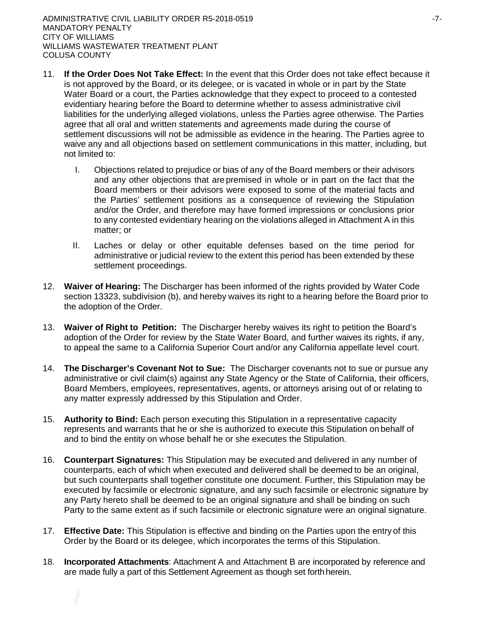- 11. **If the Order Does Not Take Effect:** In the event that this Order does not take effect because it is not approved by the Board, or its delegee, or is vacated in whole or in part by the State Water Board or a court, the Parties acknowledge that they expect to proceed to a contested evidentiary hearing before the Board to determine whether to assess administrative civil liabilities for the underlying alleged violations, unless the Parties agree otherwise. The Parties agree that all oral and written statements and agreements made during the course of settlement discussions will not be admissible as evidence in the hearing. The Parties agree to waive any and all objections based on settlement communications in this matter, including, but not limited to:
	- I. Objections related to prejudice or bias of any of the Board members or their advisors and any other objections that are premised in whole or in part on the fact that the Board members or their advisors were exposed to some of the material facts and the Parties' settlement positions as a consequence of reviewing the Stipulation and/or the Order, and therefore may have formed impressions or conclusions prior to any contested evidentiary hearing on the violations alleged in Attachment A in this matter; or
	- II. Laches or delay or other equitable defenses based on the time period for administrative or judicial review to the extent this period has been extended by these settlement proceedings.
- 12. **Waiver of Hearing:** The Discharger has been informed of the rights provided by Water Code section 13323, subdivision (b), and hereby waives its right to a hearing before the Board prior to the adoption of the Order.
- 13. **Waiver of Right to Petition:** The Discharger hereby waives its right to petition the Board's adoption of the Order for review by the State Water Board, and further waives its rights, if any, to appeal the same to a California Superior Court and/or any California appellate level court.
- 14. **The Discharger's Covenant Not to Sue:** The Discharger covenants not to sue or pursue any administrative or civil claim(s) against any State Agency or the State of California, their officers, Board Members, employees, representatives, agents, or attorneys arising out of or relating to any matter expressly addressed by this Stipulation and Order.
- 15. **Authority to Bind:** Each person executing this Stipulation in a representative capacity represents and warrants that he or she is authorized to execute this Stipulation on behalf of and to bind the entity on whose behalf he or she executes the Stipulation.
- 16. **Counterpart Signatures:** This Stipulation may be executed and delivered in any number of counterparts, each of which when executed and delivered shall be deemed to be an original, but such counterparts shall together constitute one document. Further, this Stipulation may be executed by facsimile or electronic signature, and any such facsimile or electronic signature by any Party hereto shall be deemed to be an original signature and shall be binding on such Party to the same extent as if such facsimile or electronic signature were an original signature.
- 17. **Effective Date:** This Stipulation is effective and binding on the Parties upon the entry of this Order by the Board or its delegee, which incorporates the terms of this Stipulation.
- 18. **Incorporated Attachments**: Attachment A and Attachment B are incorporated by reference and are made fully a part of this Settlement Agreement as though set forthherein.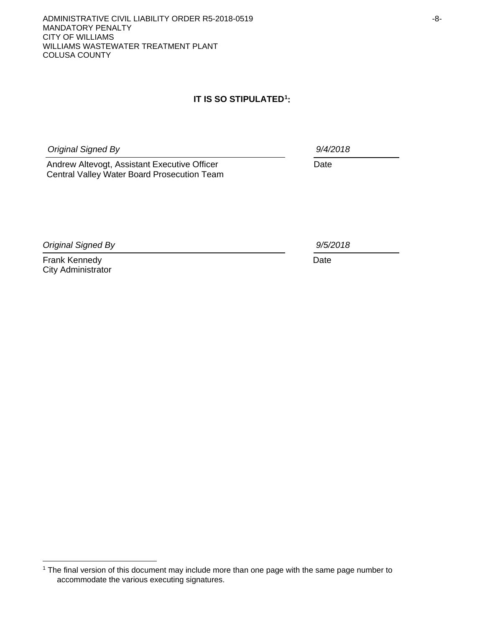ADMINISTRATIVE CIVIL LIABILITY ORDER R5-2018-0519 **CONVERTER ASSAULTS** MANDATORY PENALTY CITY OF WILLIAMS WILLIAMS WASTEWATER TREATMENT PLANT COLUSA COUNTY

# **IT IS SO STIPULATED[1](#page-7-0) :**

*Original Signed By 9/4/2018*

Andrew Altevogt, Assistant Executive Officer **Date** Date Central Valley Water Board Prosecution Team

*Original Signed By 9/5/2018*

Frank Kennedy **Date** City Administrator

<span id="page-7-0"></span><sup>1</sup> The final version of this document may include more than one page with the same page number to accommodate the various executing signatures.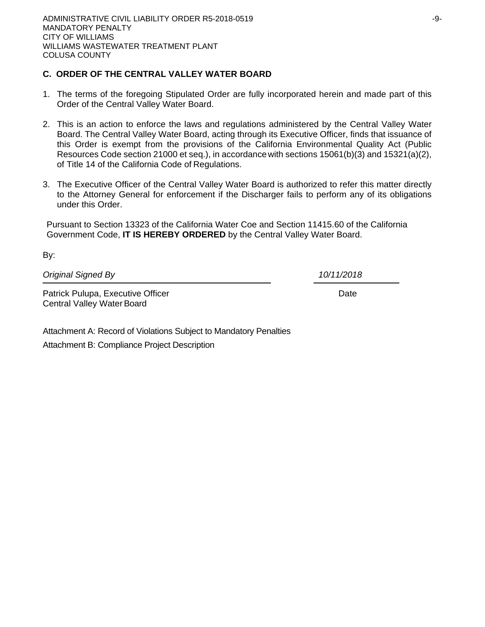# **C. ORDER OF THE CENTRAL VALLEY WATER BOARD**

- 1. The terms of the foregoing Stipulated Order are fully incorporated herein and made part of this Order of the Central Valley Water Board.
- 2. This is an action to enforce the laws and regulations administered by the Central Valley Water Board. The Central Valley Water Board, acting through its Executive Officer, finds that issuance of this Order is exempt from the provisions of the California Environmental Quality Act (Public Resources Code section 21000 et seq.), in accordancewith sections 15061(b)(3) and 15321(a)(2), of Title 14 of the California Code of Regulations.
- 3. The Executive Officer of the Central Valley Water Board is authorized to refer this matter directly to the Attorney General for enforcement if the Discharger fails to perform any of its obligations under this Order.

Pursuant to Section 13323 of the California Water Coe and Section 11415.60 of the California Government Code, **IT IS HEREBY ORDERED** by the Central Valley Water Board.

| Original Signed By                | 10/11/2018 |
|-----------------------------------|------------|
| Patrick Pulupa, Executive Officer | Date       |
| Central Valley Water Board        |            |

Attachment A: Record of Violations Subject to Mandatory Penalties Attachment B: Compliance Project Description

By: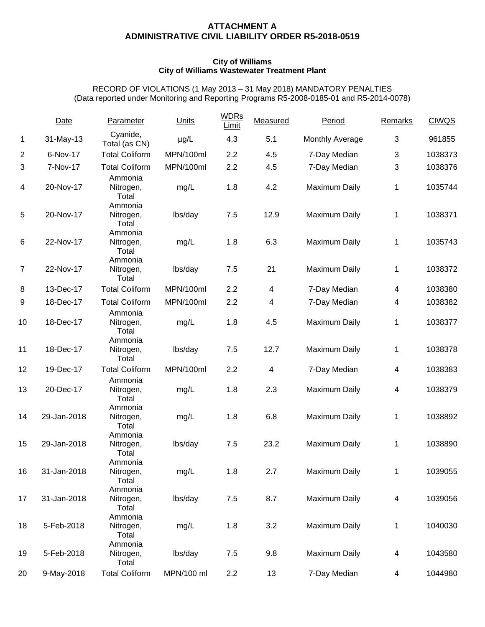#### **ATTACHMENT A ADMINISTRATIVE CIVIL LIABILITY ORDER R5-2018-0519**

#### **City of Williams City of Williams Wastewater Treatment Plant**

RECORD OF VIOLATIONS (1 May 2013 – 31 May 2018) MANDATORY PENALTIES (Data reported under Monitoring and Reporting Programs R5-2008-0185-01 and R5-2014-0078)

|                | Date        | Parameter                     | Units      | <b>WDRs</b><br>Limit | Measured | Period               | Remarks | <b>CIWQS</b> |
|----------------|-------------|-------------------------------|------------|----------------------|----------|----------------------|---------|--------------|
| 1              | 31-May-13   | Cyanide,<br>Total (as CN)     | $\mu$ g/L  | 4.3                  | 5.1      | Monthly Average      | 3       | 961855       |
| $\overline{2}$ | 6-Nov-17    | <b>Total Coliform</b>         | MPN/100ml  | 2.2                  | 4.5      | 7-Day Median         | 3       | 1038373      |
| 3              | 7-Nov-17    | <b>Total Coliform</b>         | MPN/100ml  | 2.2                  | 4.5      | 7-Day Median         | 3       | 1038376      |
| 4              | 20-Nov-17   | Ammonia<br>Nitrogen,<br>Total | mg/L       | 1.8                  | 4.2      | Maximum Daily        | 1       | 1035744      |
| 5              | 20-Nov-17   | Ammonia<br>Nitrogen,<br>Total | lbs/day    | 7.5                  | 12.9     | Maximum Daily        | 1       | 1038371      |
| 6              | 22-Nov-17   | Ammonia<br>Nitrogen,<br>Total | mg/L       | 1.8                  | 6.3      | Maximum Daily        | 1       | 1035743      |
| $\overline{7}$ | 22-Nov-17   | Ammonia<br>Nitrogen,<br>Total | lbs/day    | 7.5                  | 21       | Maximum Daily        | 1       | 1038372      |
| 8              | 13-Dec-17   | <b>Total Coliform</b>         | MPN/100ml  | 2.2                  | 4        | 7-Day Median         | 4       | 1038380      |
| 9              | 18-Dec-17   | <b>Total Coliform</b>         | MPN/100ml  | 2.2                  | 4        | 7-Day Median         | 4       | 1038382      |
| 10             | 18-Dec-17   | Ammonia<br>Nitrogen,<br>Total | mg/L       | 1.8                  | 4.5      | Maximum Daily        | 1       | 1038377      |
| 11             | 18-Dec-17   | Ammonia<br>Nitrogen,<br>Total | lbs/day    | 7.5                  | 12.7     | Maximum Daily        | 1       | 1038378      |
| 12             | 19-Dec-17   | <b>Total Coliform</b>         | MPN/100ml  | 2.2                  | 4        | 7-Day Median         | 4       | 1038383      |
|                |             | Ammonia                       |            |                      |          |                      |         |              |
| 13             | 20-Dec-17   | Nitrogen,<br>Total<br>Ammonia | mg/L       | 1.8                  | 2.3      | Maximum Daily        | 4       | 1038379      |
| 14             | 29-Jan-2018 | Nitrogen,<br>Total            | mg/L       | 1.8                  | 6.8      | Maximum Daily        | 1       | 1038892      |
| 15             | 29-Jan-2018 | Ammonia<br>Nitrogen,<br>Total | lbs/day    | 7.5                  | 23.2     | Maximum Daily        | 1       | 1038890      |
| 16             | 31-Jan-2018 | Ammonia<br>Nitrogen,<br>Total | mg/L       | 1.8                  | 2.7      | Maximum Daily        | 1       | 1039055      |
| 17             | 31-Jan-2018 | Ammonia<br>Nitrogen,<br>Total | lbs/day    | 7.5                  | 8.7      | <b>Maximum Daily</b> | 4       | 1039056      |
| 18             | 5-Feb-2018  | Ammonia<br>Nitrogen,<br>Total | mg/L       | 1.8                  | 3.2      | Maximum Daily        | 1       | 1040030      |
| 19             | 5-Feb-2018  | Ammonia<br>Nitrogen,<br>Total | lbs/day    | 7.5                  | 9.8      | Maximum Daily        | 4       | 1043580      |
| 20             | 9-May-2018  | <b>Total Coliform</b>         | MPN/100 ml | 2.2                  | 13       | 7-Day Median         | 4       | 1044980      |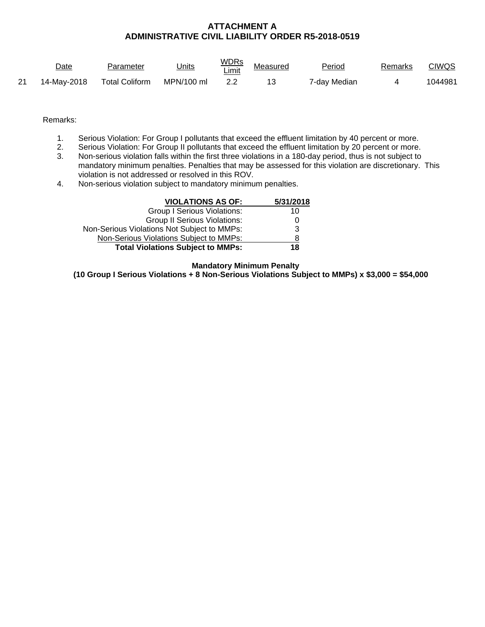### **ATTACHMENT A ADMINISTRATIVE CIVIL LIABILITY ORDER R5-2018-0519**

|     | Date        | Parameter             | Units      | <u>WDRs</u><br>'_imit | Measured | Period                   | Remarks | CIWQS   |
|-----|-------------|-----------------------|------------|-----------------------|----------|--------------------------|---------|---------|
| -21 | 14-May-2018 | <b>Total Coliform</b> | MPN/100 ml |                       |          | <sup>7</sup> -day Median |         | 1044981 |

Remarks:

- 1. Serious Violation: For Group I pollutants that exceed the effluent limitation by 40 percent or more.
- 2. Serious Violation: For Group II pollutants that exceed the effluent limitation by 20 percent or more.
- 3. Non-serious violation falls within the first three violations in a 180-day period, thus is not subject to mandatory minimum penalties. Penalties that may be assessed for this violation are discretionary. This violation is not addressed or resolved in this ROV.
- 4. Non-serious violation subject to mandatory minimum penalties.

| <b>VIOLATIONS AS OF:</b>                    | 5/31/2018 |
|---------------------------------------------|-----------|
| <b>Group I Serious Violations:</b>          | 10        |
| <b>Group II Serious Violations:</b>         |           |
| Non-Serious Violations Not Subject to MMPs: | 3         |
| Non-Serious Violations Subject to MMPs:     | 8         |
| <b>Total Violations Subject to MMPs:</b>    | 18        |

 **Mandatory Minimum Penalty** 

**(10 Group I Serious Violations + 8 Non-Serious Violations Subject to MMPs) x \$3,000 = \$54,000**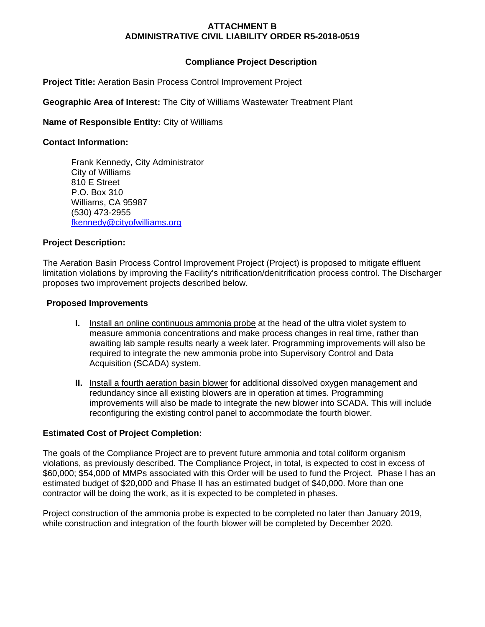## **ATTACHMENT B ADMINISTRATIVE CIVIL LIABILITY ORDER R5-2018-0519**

# **Compliance Project Description**

**Project Title:** Aeration Basin Process Control Improvement Project

**Geographic Area of Interest:** The City of Williams Wastewater Treatment Plant

**Name of Responsible Entity:** City of Williams

### **Contact Information:**

Frank Kennedy, City Administrator City of Williams 810 E Street P.O. Box 310 Williams, CA 95987 (530) 473-2955 fkennedy@cityofwilliams.org

### **Project Description:**

The Aeration Basin Process Control Improvement Project (Project) is proposed to mitigate effluent limitation violations by improving the Facility's nitrification/denitrification process control. The Discharger proposes two improvement projects described below.

### **Proposed Improvements**

- **I.** Install an online continuous ammonia probe at the head of the ultra violet system to measure ammonia concentrations and make process changes in real time, rather than awaiting lab sample results nearly a week later. Programming improvements will also be required to integrate the new ammonia probe into Supervisory Control and Data Acquisition (SCADA) system.
- **II.** Install a fourth aeration basin blower for additional dissolved oxygen management and redundancy since all existing blowers are in operation at times. Programming improvements will also be made to integrate the new blower into SCADA. This will include reconfiguring the existing control panel to accommodate the fourth blower.

# **Estimated Cost of Project Completion:**

The goals of the Compliance Project are to prevent future ammonia and total coliform organism violations, as previously described. The Compliance Project, in total, is expected to cost in excess of \$60,000; \$54,000 of MMPs associated with this Order will be used to fund the Project. Phase I has an estimated budget of \$20,000 and Phase II has an estimated budget of \$40,000. More than one contractor will be doing the work, as it is expected to be completed in phases.

Project construction of the ammonia probe is expected to be completed no later than January 2019, while construction and integration of the fourth blower will be completed by December 2020.